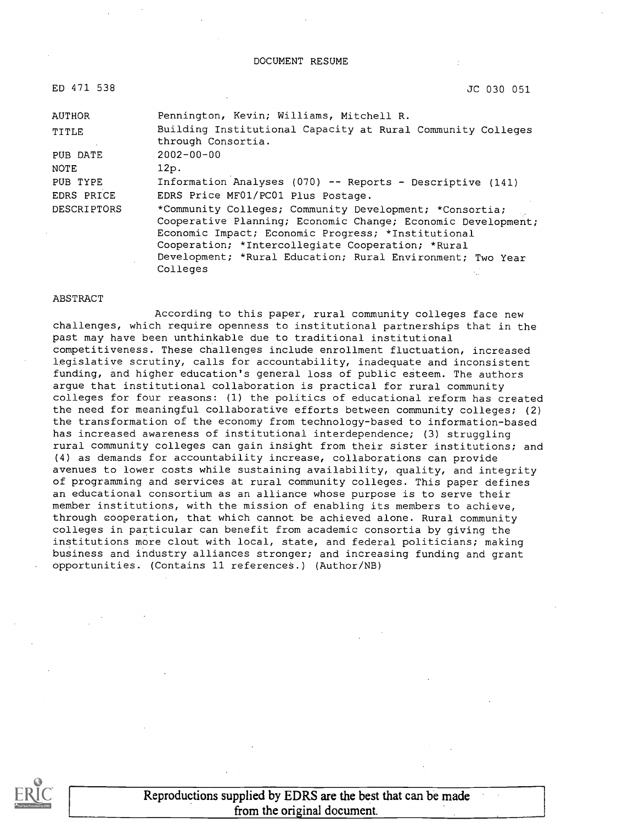#### DOCUMENT RESUME

| ED 471 538         | JC 030 051                                                                                                                                                                                                                                                                                                   |
|--------------------|--------------------------------------------------------------------------------------------------------------------------------------------------------------------------------------------------------------------------------------------------------------------------------------------------------------|
| AUTHOR             | Pennington, Kevin; Williams, Mitchell R.                                                                                                                                                                                                                                                                     |
| <b>TITLE</b>       | Building Institutional Capacity at Rural Community Colleges<br>through Consortia.                                                                                                                                                                                                                            |
| PUB DATE           | $2002 - 00 - 00$                                                                                                                                                                                                                                                                                             |
| NOTE               | 12p.                                                                                                                                                                                                                                                                                                         |
| PUB TYPE           | Information Analyses (070) -- Reports - Descriptive (141)                                                                                                                                                                                                                                                    |
| EDRS PRICE         | EDRS Price MF01/PC01 Plus Postage.                                                                                                                                                                                                                                                                           |
| <b>DESCRIPTORS</b> | *Community Colleges; Community Development; *Consortia;<br>Cooperative Planning; Economic Change; Economic Development;<br>Economic Impact; Economic Progress; *Institutional<br>Cooperation; *Intercollegiate Cooperation; *Rural<br>Development; *Rural Education; Rural Environment; Two Year<br>Colleges |

#### ABSTRACT

According to this paper, rural community colleges face new challenges, which require openness to institutional partnerships that in the past may have been unthinkable due to traditional institutional competitiveness. These challenges include enrollment fluctuation, increased legislative scrutiny, calls for accountability, inadequate and inconsistent funding, and higher education's general loss of public esteem. The authors argue that institutional collaboration is practical for rural community colleges for four reasons: (1) the politics of educational reform has created the need for meaningful collaborative efforts between community colleges; (2) the transformation of the economy from technology-based to information-based has increased awareness of institutional interdependence; (3) struggling rural community colleges can gain insight from their sister institutions; and (4) as demands for accountability increase, collaborations can provide avenues to lower costs while sustaining availability, quality, and integrity of programming and services at rural community colleges. This paper defines an educational consortium as an alliance whose purpose is to serve their member institutions, with the mission of enabling its members to achieve, through cooperation, that which cannot be achieved alone. Rural community colleges in particular can benefit from academic consortia by giving the institutions more clout with local, state, and federal politicians; making business and industry alliances stronger; and increasing funding and grant opportunities. (Contains 11 references.) (Author/NB)



Reproductions supplied by EDRS are the best that can be made from the original document.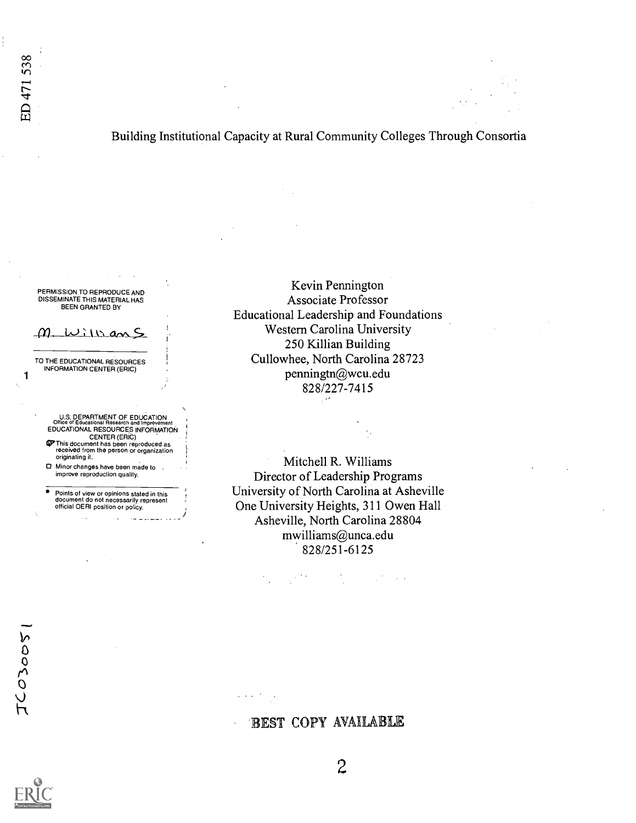# Building Institutional Capacity at Rural Community Colleges Through Consortia

PERMISSION TO REPRODUCE AND DISSEMINATE THIS MATERIAL HAS BEEN GRANTED BY

# William

TO THE EDUCATIONAL RESOURCES INFORMATION CENTER (ERIC)

1

U.S. DEPARTMENT OF EDUCATION<br>Office of Educational Research and Improvement<br>EDUCATIONAL RESOURCES INFORMATION CENTER (ERIC)<br>
This document has been reproduced as<br>
received from the person or organization<br>
originating it.

Minor changes have been made to . improve reproduction quality.

Points of view or opinions stated in this document do not necessarily represent official OERI position or policy.

 $\mathbf{r}$ 

 $\ddot{x}$ 

-

Kevin Pennington Associate Professor Educational Leadership and Foundations Western Carolina University 250 Killian Building Cullowhee, North Carolina 28723 penningtn@wcu.edu 828/227-7415

Mitchell R. Williams Director of Leadership Programs University of North Carolina at Asheville One University Heights, 311 Owen Hall Asheville, North Carolina 28804 mwilliams@unca.edu 828/251-6125

 $\mathcal{L}_{\rm eff}^{\rm eff}$  , where  $\mathcal{L}_{\rm eff}$ 

0  $\overline{O}$  $\mathcal{L}$ 





 $\overline{2}$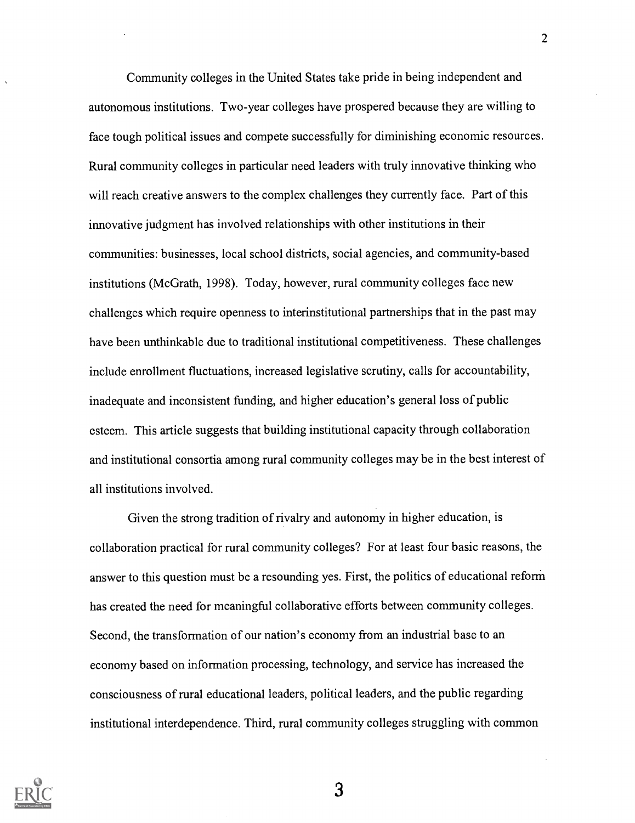Community colleges in the United States take pride in being independent and autonomous institutions. Two-year colleges have prospered because they are willing to face tough political issues and compete successfully for diminishing economic resources. Rural community colleges in particular need leaders with truly innovative thinking who will reach creative answers to the complex challenges they currently face. Part of this innovative judgment has involved relationships with other institutions in their communities: businesses, local school districts, social agencies, and community-based institutions (McGrath, 1998). Today, however, rural community colleges face new challenges which require openness to interinstitutional partnerships that in the past may have been unthinkable due to traditional institutional competitiveness. These challenges include enrollment fluctuations, increased legislative scrutiny, calls for accountability, inadequate and inconsistent funding, and higher education's general loss of public esteem. This article suggests that building institutional capacity through collaboration and institutional consortia among rural community colleges may be in the best interest of all institutions involved.

Given the strong tradition of rivalry and autonomy in higher education, is collaboration practical for rural community colleges? For at least four basic reasons, the answer to this question must be a resounding yes. First, the politics of educational reform has created the need for meaningful collaborative efforts between community colleges. Second, the transformation of our nation's economy from an industrial base to an economy based on information processing, technology, and service has increased the consciousness of rural educational leaders, political leaders, and the public regarding institutional interdependence. Third, rural community colleges struggling with common

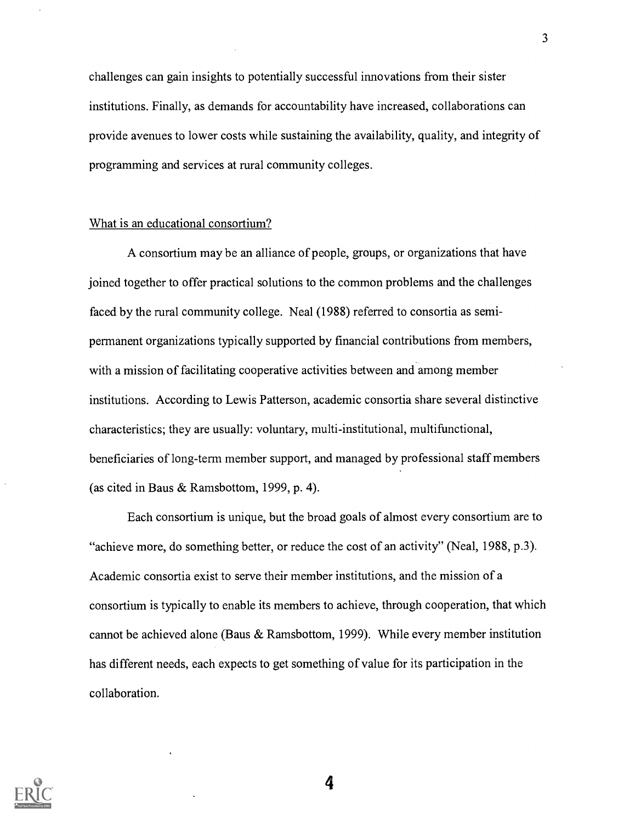challenges can gain insights to potentially successful innovations from their sister institutions. Finally, as demands for accountability have increased, collaborations can provide avenues to lower costs while sustaining the availability, quality, and integrity of programming and services at rural community colleges.

## What is an educational consortium?

A consortium may be an alliance of people, groups, or organizations that have joined together to offer practical solutions to the common problems and the challenges faced by the rural community college. Neal (1988) referred to consortia as semipermanent organizations typically supported by financial contributions from members, with a mission of facilitating cooperative activities between and among member institutions. According to Lewis Patterson, academic consortia share several distinctive characteristics; they are usually: voluntary, multi-institutional, multifunctional, beneficiaries of long-term member support, and managed by professional staff members (as cited in Baus & Ramsbottom, 1999, p. 4).

Each consortium is unique, but the broad goals of almost every consortium are to "achieve more, do something better, or reduce the cost of an activity" (Neal, 1988, p.3). Academic consortia exist to serve their member institutions, and the mission of a consortium is typically to enable its members to achieve, through cooperation, that which cannot be achieved alone (Baus & Ramsbottom, 1999). While every member institution has different needs, each expects to get something of value for its participation in the collaboration.

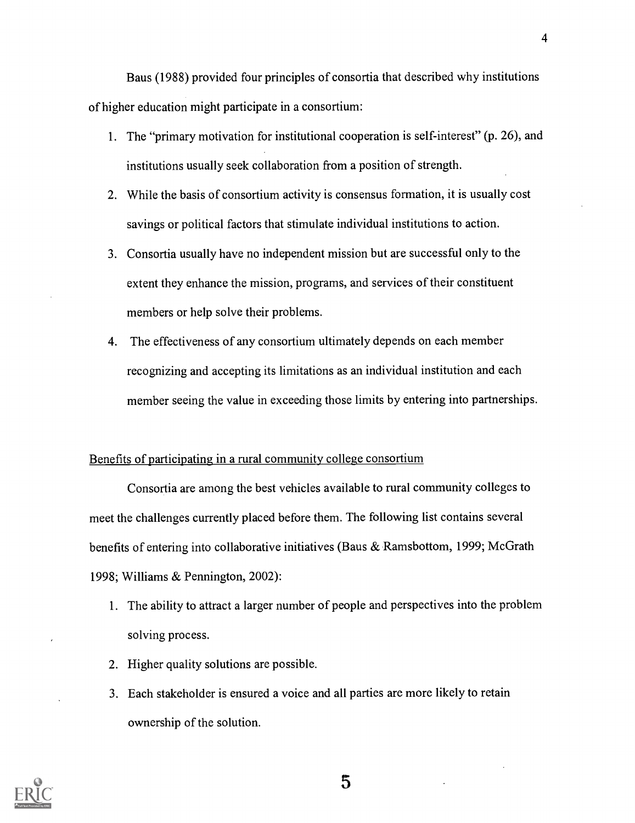Baus (1988) provided four principles of consortia that described why institutions of higher education might participate in a consortium:

- 1. The "primary motivation for institutional cooperation is self-interest" (p. 26), and institutions usually seek collaboration from a position of strength.
- 2. While the basis of consortium activity is consensus formation, it is usually cost savings or political factors that stimulate individual institutions to action.
- 3. Consortia usually have no independent mission but are successful only to the extent they enhance the mission, programs, and services of their constituent members or help solve their problems.
- 4. The effectiveness of any consortium ultimately depends on each member recognizing and accepting its limitations as an individual institution and each member seeing the value in exceeding those limits by entering into partnerships.

## Benefits of participating in a rural community college consortium

Consortia are among the best vehicles available to rural community colleges to meet the challenges currently placed before them. The following list contains several benefits of entering into collaborative initiatives (Baus & Ramsbottom, 1999; McGrath 1998; Williams & Pennington, 2002):

- 1. The ability to attract a larger number of people and perspectives into the problem solving process.
- 2. Higher quality solutions are possible.
- 3. Each stakeholder is ensured a voice and all parties are more likely to retain ownership of the solution.

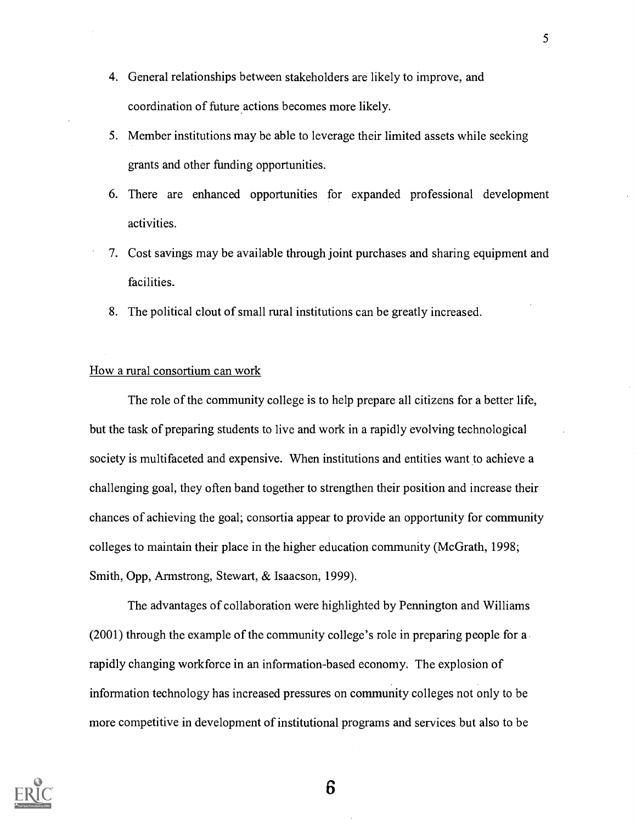- 4. General relationships between stakeholders are likely to improve, and coordination of future actions becomes more likely.
- 5. Member institutions may be able to leverage their limited assets while seeking grants and other funding opportunities.
- 6. There are enhanced opportunities for expanded professional development activities.
- 7. Cost savings may be available through joint purchases and sharing equipment and facilities.
- 8. The political clout of small rural institutions can be greatly increased.

## How a rural consortium can work

The role of the community college is to help prepare all citizens for a better life, but the task of preparing students to live and work in a rapidly evolving technological society is multifaceted and expensive. When institutions and entities want to achieve a challenging goal, they often band together to strengthen their position and increase their chances of achieving the goal; consortia appear to provide an opportunity for community colleges to maintain their place in the higher education community (McGrath, 1998; Smith, Opp, Armstrong, Stewart, & Isaacson, 1999).

The advantages of collaboration were highlighted by Pennington and Williams (2001) through the example of the community college's role in preparing people for a rapidly changing workforce in an information-based economy. The explosion of information technology has increased pressures on community colleges not only to be more competitive in development of institutional programs and services but also to be

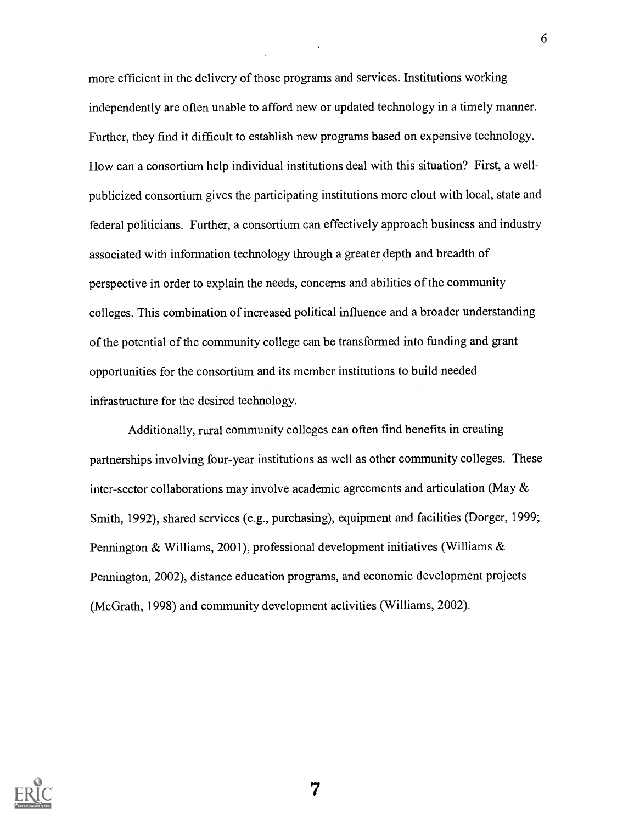more efficient in the delivery of those programs and services. Institutions working independently are often unable to afford new or updated technology in a timely manner. Further, they find it difficult to establish new programs based on expensive technology. How can a consortium help individual institutions deal with this situation? First, a wellpublicized consortium gives the participating institutions more clout with local, state and federal politicians. Further, a consortium can effectively approach business and industry associated with information technology through a greater depth and breadth of perspective in order to explain the needs, concerns and abilities of the community colleges. This combination of increased political influence and a broader understanding of the potential of the community college can be transformed into funding and grant opportunities for the consortium and its member institutions to build needed infrastructure for the desired technology.

6

Additionally, rural community colleges can often find benefits in creating partnerships involving four-year institutions as well as other community colleges. These inter-sector collaborations may involve academic agreements and articulation (May & Smith, 1992), shared services (e.g., purchasing), equipment and facilities (Dorger, 1999; Pennington & Williams, 2001), professional development initiatives (Williams & Pennington, 2002), distance education programs, and economic development projects (McGrath, 1998) and community development activities (Williams, 2002).

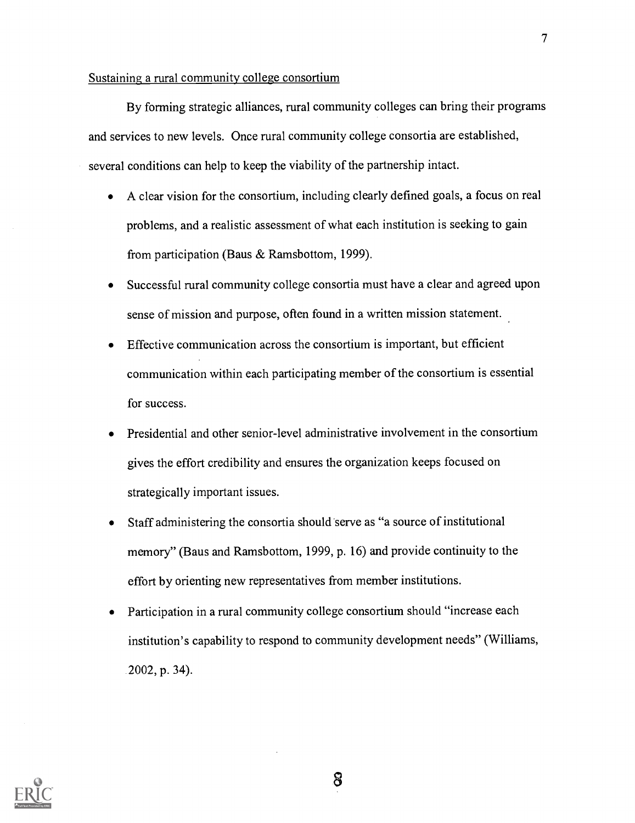## Sustaining a rural community college consortium

By forming strategic alliances, rural community colleges can bring their programs and services to new levels. Once rural community college consortia are established, several conditions can help to keep the viability of the partnership intact.

- A clear vision for the consortium, including clearly defined goals, a focus on real problems, and a realistic assessment of what each institution is seeking to gain from participation (Baus & Ramsbottom, 1999).
- Successful rural community college consortia must have a clear and agreed upon  $\bullet$ sense of mission and purpose, often found in a written mission statement.
- Effective communication across the consortium is important, but efficient  $\bullet$ communication within each participating member of the consortium is essential for success.
- Presidential and other senior-level administrative involvement in the consortium gives the effort credibility and ensures the organization keeps focused on strategically important issues.
- Staff administering the consortia should serve as "a source of institutional  $\bullet$ memory" (Baus and Ramsbottom, 1999, p. 16) and provide continuity to the effort by orienting new representatives from member institutions.
- Participation in a rural community college consortium should "increase each institution's capability to respond to community development needs" (Williams, 2002, p. 34).

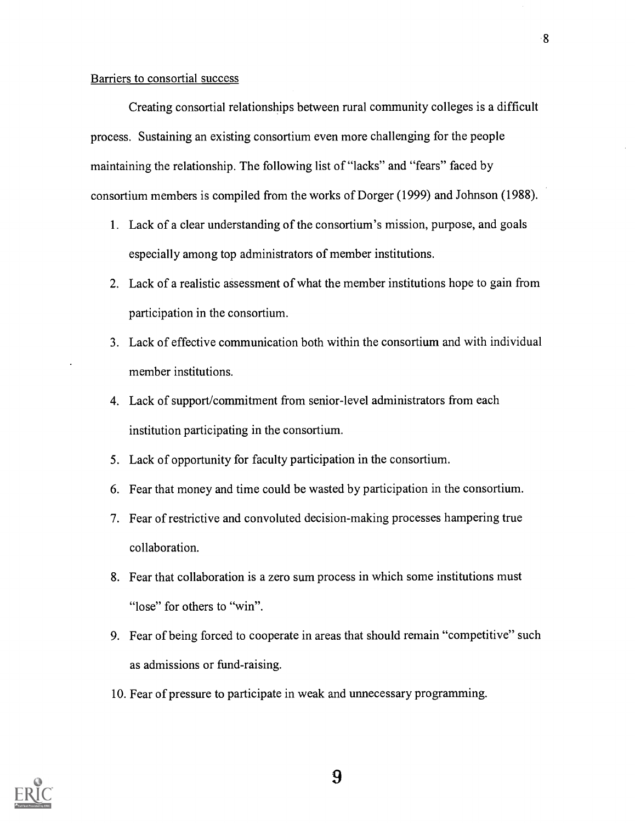### Barriers to consortial success

Creating consortial relationships between rural community colleges is a difficult process. Sustaining an existing consortium even more challenging for the people maintaining the relationship. The following list of "lacks" and "fears" faced by consortium members is compiled from the works of Dorger (1999) and Johnson (1988).

- 1. Lack of a clear understanding of the consortium's mission, purpose, and goals especially among top administrators of member institutions.
- 2. Lack of a realistic assessment of what the member institutions hope to gain from participation in the consortium.
- 3. Lack of effective communication both within the consortium and with individual member institutions.
- 4. Lack of support/commitment from senior-level administrators from each institution participating in the consortium.
- 5. Lack of opportunity for faculty participation in the consortium.
- 6. Fear that money and time could be wasted by participation in the consortium.
- 7. Fear of restrictive and convoluted decision-making processes hampering true collaboration.
- 8. Fear that collaboration is a zero sum process in which some institutions must "lose" for others to "win".
- 9. Fear of being forced to cooperate in areas that should remain "competitive" such as admissions or fund-raising.
- 10. Fear of pressure to participate in weak and unnecessary programming.

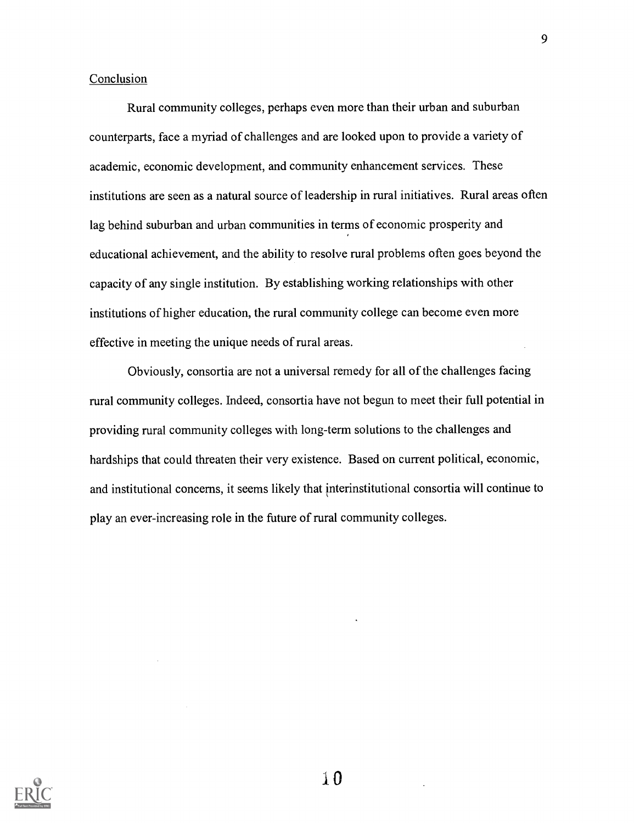## Conclusion

Rural community colleges, perhaps even more than their urban and suburban counterparts, face a myriad of challenges and are looked upon to provide a variety of academic, economic development, and community enhancement services. These institutions are seen as a natural source of leadership in rural initiatives. Rural areas often lag behind suburban and urban communities in terms of economic prosperity and educational achievement, and the ability to resolve rural problems often goes beyond the capacity of any single institution. By establishing working relationships with other institutions of higher education, the rural community college can become even more effective in meeting the unique needs of rural areas.

Obviously, consortia are not a universal remedy for all of the challenges facing rural community colleges. Indeed, consortia have not begun to meet their full potential in providing rural community colleges with long-term solutions to the challenges and hardships that could threaten their very existence. Based on current political, economic, and institutional concerns, it seems likely that interinstitutional consortia will continue to play an ever-increasing role in the future of rural community colleges.



 $\pm 0$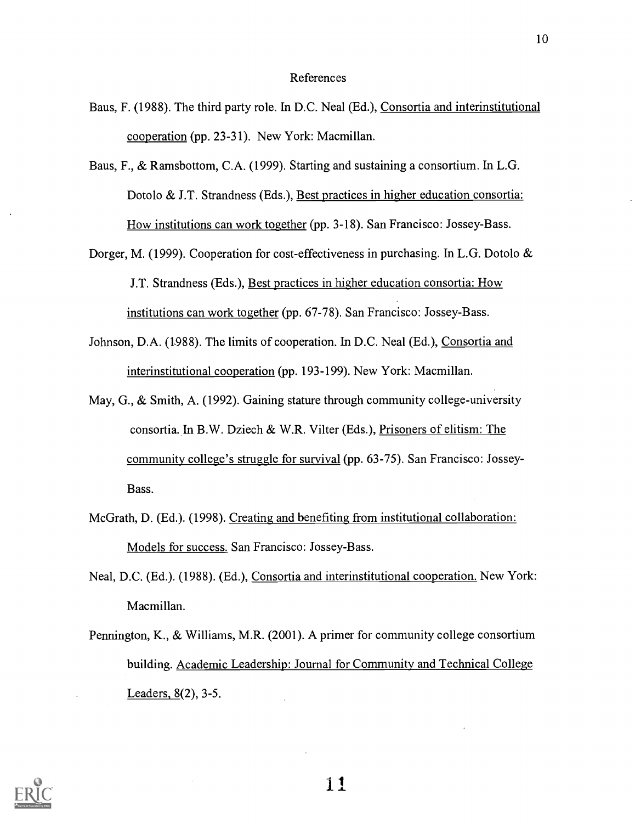#### References

- Baus, F. (1988). The third party role. In D.C. Neal (Ed.), Consortia and interinstitutional cooperation (pp. 23-31). New York: Macmillan.
- Baus, F., & Ramsbottom, C.A. (1999). Starting and sustaining a consortium. In L.G. Dotolo & J.T. Strandness (Eds.), Best practices in higher education consortia: How institutions can work together (pp. 3-18). San Francisco: Jossey-Bass.
- Dorger, M. (1999). Cooperation for cost-effectiveness in purchasing. In L.G. Dotolo & J.T. Strandness (Eds.), Best practices in higher education consortia: How institutions can work together (pp. 67-78). San Francisco: Jossey-Bass.
- Johnson, D.A. (1988). The limits of cooperation. In D.C. Neal (Ed.), Consortia and interinstitutional cooperation (pp. 193-199). New York: Macmillan.
- May, G., & Smith, A. (1992). Gaining stature through community college-university consortia. In B.W. Dziech & W.R. Vilter (Eds.), Prisoners of elitism: The community college's struggle for survival (pp. 63-75). San Francisco: Jossey-Bass.
- McGrath, D. (Ed.). (1998). Creating and benefiting from institutional collaboration: Models for success. San Francisco: Jossey-Bass.
- Neal, D.C. (Ed.). (1988). (Ed.), Consortia and interinstitutional cooperation. New York: Macmillan.
- Pennington, K., & Williams, M.R. (2001). A primer for community college consortium building. Academic Leadership: Journal for Community and Technical College Leaders, 8(2), 3-5.



11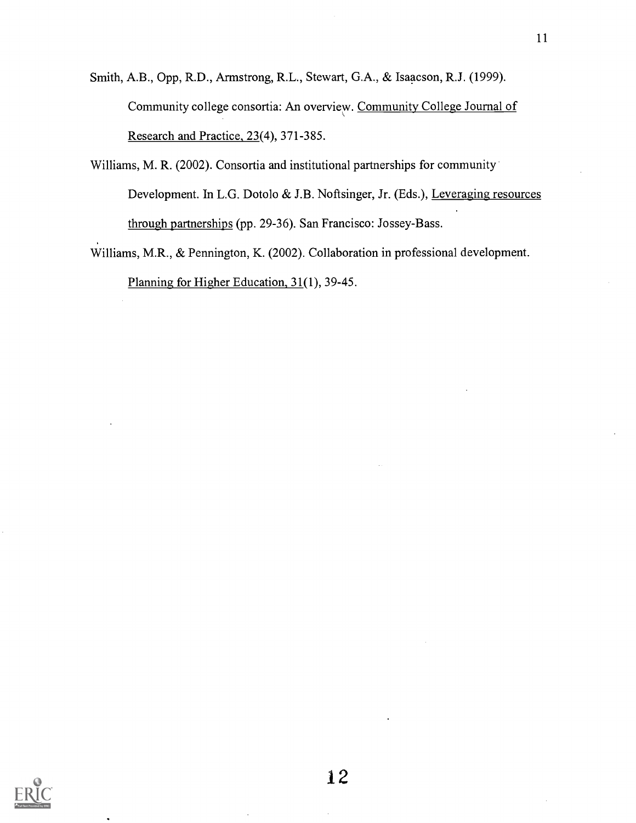Smith, A.B., Opp, R.D., Armstrong, R.L., Stewart, G.A., & Isaacson, R.J. (1999). Community college consortia: An overview. Community College Journal of Research and Practice, 23(4), 371-385.

- Williams, M. R. (2002). Consortia and institutional partnerships for community Development. In L.G. Dotolo & J.B. Noftsinger, Jr. (Eds.), Leveraging resources through partnerships (pp. 29-36). San Francisco: Jossey-Bass.
- Williams, M.R., & Pennington, K. (2002). Collaboration in professional development. Planning for Higher Education, 31(1), 39-45.

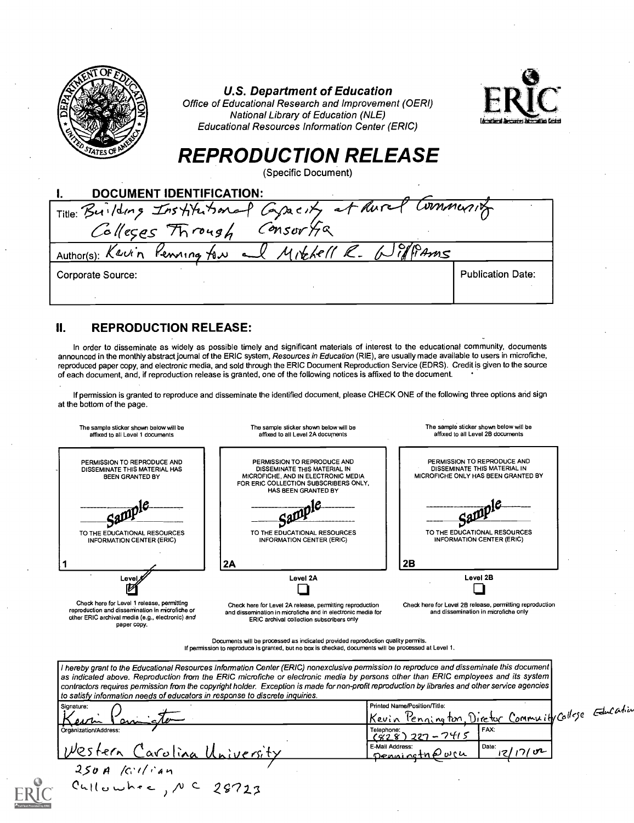|           | <b>U.S. Department of Education</b><br>Office of Educational Research and Improvement (OERI)<br>National Library of Education (NLE)<br><b>Educational Resources Information Center (ERIC)</b> |  |
|-----------|-----------------------------------------------------------------------------------------------------------------------------------------------------------------------------------------------|--|
|           | <b>REPRODUCTION RELEASE</b><br>(Specific Document)                                                                                                                                            |  |
|           | <b>DOCUMENT IDENTIFICATION:</b>                                                                                                                                                               |  |
|           |                                                                                                                                                                                               |  |
|           | Title: Building Institutional Capacity at Aural Community                                                                                                                                     |  |
| Author(s) | Penning fou all Mitchell R. Williams                                                                                                                                                          |  |

II. REPRODUCTION RELEASE:

In order to disseminate as widely as possible timely and significant materials of interest to the educational community, documents announced in the monthly abstract journal of the ERIC system, *Resources in Education (*RIE), are usually made available to users in microfiche, reproduced paper copy, and electronic media, and sold through the ERIC Document Reproduction Service (EDRS). Credit is given to the source of each document, and, if reproduction release is granted, one of the following notices is affixed to the document.

Corporate Source: Publication Date: Publication Date:

If permission is granted to reproduce and disseminate the identified document, please CHECK ONE of the following three options and sign at the bottom of the page.

| PERMISSION TO REPRODUCE AND<br>DISSEMINATE THIS MATERIAL HAS<br>BEEN GRANTED BY                                                                                  | PERMISSION TO REPRODUCE AND<br>DISSEMINATE THIS MATERIAL IN<br>MICROFICHE, AND IN ELECTRONIC MEDIA<br>FOR ERIC COLLECTION SUBSCRIBERS ONLY.<br>HAS BEEN GRANTED BY   | PERMISSION TO REPRODUCE AND<br>DISSEMINATE THIS MATERIAL IN<br>MICROFICHE ONLY HAS BEEN GRANTED BY |
|------------------------------------------------------------------------------------------------------------------------------------------------------------------|----------------------------------------------------------------------------------------------------------------------------------------------------------------------|----------------------------------------------------------------------------------------------------|
| caO<br>TO THE EDUCATIONAL RESOURCES<br><b>INFORMATION CENTER (ERIC)</b>                                                                                          | TO THE EDUCATIONAL RESOURCES<br>INFORMATION CENTER (ERIC)                                                                                                            | $\mathcal{S}$ an<br>TO THE EDUCATIONAL RESOURCES<br><b>INFORMATION CENTER (ERIC)</b>               |
| Level,                                                                                                                                                           | 2A<br>Level 2A                                                                                                                                                       | 2B<br>Level 2B                                                                                     |
| Check here for Level 1 release, permitting<br>reproduction and dissemination in microfiche or<br>other ERIC archival media (e.g., electronic) and<br>paper copy. | Check here for Level 2A release, permitting reproduction<br>and dissemination in microfiche and in electronic media for<br>ERIC archival collection subscribers only | Check here for Level 2B release, permitting reproduction<br>and dissemination in microfiche only   |

contractors requires permission from the copyright holder. Exception is made for non-profit reproduction by libraries and other service agencies

|                                           | to satisfy information needs of educators in response to discrete inquiries. |                                                                                       |  |
|-------------------------------------------|------------------------------------------------------------------------------|---------------------------------------------------------------------------------------|--|
| Signature:                                |                                                                              | Printed Name/Position/Title:<br>Kevin Pennington, Diretor Community College Education |  |
| $\Delta \Lambda$<br>Organization/Address: | amcle                                                                        | I FAX:<br>Telephone:<br>(828) 227-7415                                                |  |
|                                           | Western Carolina University                                                  | Date:<br>E-Mail Address:<br>17/102<br>penningtne via                                  |  |
| $250A$ / $C1/14n$                         |                                                                              |                                                                                       |  |
|                                           | Culloubre, N C 28723                                                         |                                                                                       |  |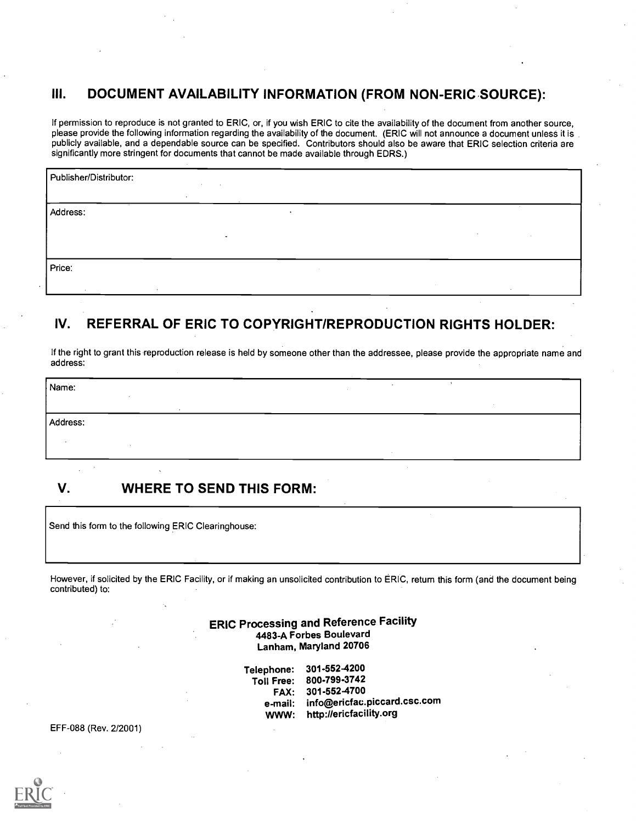# III. DOCUMENT AVAILABILITY INFORMATION (FROM NON-ERIC SOURCE):

If permission to reproduce is not granted to ERIC, or, if you wish ERIC to cite the availability of the document from another source, please provide the following information regarding the availability of the document. (ERIC will not announce a document unless it is publicly available, and a dependable source can be specified. Contributors should also be aware that ERIC selection criteria are significantly more stringent for documents that cannot be made available through EDRS.)

| Publisher/Distributor:                          | <b>COL</b> |           |        |        |
|-------------------------------------------------|------------|-----------|--------|--------|
| $\cdot$<br>$\overline{\phantom{a}}$<br>Address: |            | $\bullet$ |        | $\sim$ |
|                                                 |            |           | . н.   |        |
| Price:                                          |            |           |        |        |
| $\ddot{\phantom{1}}$                            |            |           | $\sim$ |        |

# IV. REFERRAL OF ERIC TO COPYRIGHT/REPRODUCTION RIGHTS HOLDER:

If the right to grant this reproduction release is held by someone other than the addressee, please provide the appropriate name and address:

| Name:    |  |
|----------|--|
|          |  |
| Address: |  |
|          |  |
|          |  |
|          |  |

# V. WHERE TO SEND THIS FORM:

Send this form to the following ERIC Clearinghouse:

However, if solicited by the ERIC Facility, or if making an unsolicited contribution to ERIC, return this form (and the document being contributed) to:

> ERIC Processing and Reference Facility 4483-A Forbes Boulevard Lanham, Maryland 20706

> > Telephone: 301-552-4200 Toll Free: 800-799-3742 FAX: 301-552-4700 e-mail: info@ericfac.piccard.csc.com<br>WWW: http://ericfacility.org http://ericfacility.org

EFF-088 (Rev. 2/2001)

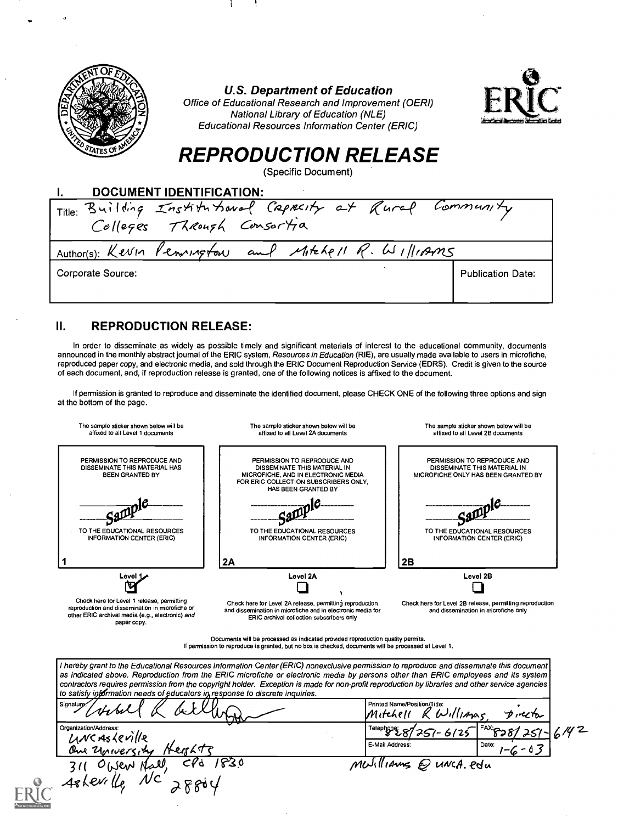

## U.S. Department of Education

Office of Educational Research and Improvement (OERI) National Library of Education (NLE) Educational Resources Information Center (ERIC)



# REPRODUCTION RELEASE

(Specific Document)

| <b>DOCUMENT IDENTIFICATION:</b>                           |                          |
|-----------------------------------------------------------|--------------------------|
| Title: Building Institutional Capacity at Rural Community |                          |
|                                                           |                          |
| Author(s): Kevin Pennington and Mitchell R. Williams      |                          |
| Corporate Source:                                         | <b>Publication Date:</b> |
|                                                           |                          |

# II. REPRODUCTION RELEASE:

In order to disseminate as widely as possible timely and significant materials of interest to the educational community, documents announced in the monthly abstract journal of the ERIC system, Resources in Education (RIE), are usually made available to users in microfiche, reproduced paper copy, and electronic media, and sold through the ERIC Document Reproduction Service (EDRS). Credit is given to the source of each document, and, if reproduction release is granted, one of the following notices is affixed to the document.

If permission is granted to reproduce and disseminate the identified document, please CHECK ONE of the following three options and sign at the bottom of the page.

| The sample sticker shown below will be<br>affixed to all Level 1 documents                                                                                                                                                                                                                                                                                                                                                                                                                                        | The sample sticker shown below will be<br>affixed to all Level 2A documents                                                                                        | The sample sticker shown below will be<br>affixed to all Level 2B documents                        |  |  |
|-------------------------------------------------------------------------------------------------------------------------------------------------------------------------------------------------------------------------------------------------------------------------------------------------------------------------------------------------------------------------------------------------------------------------------------------------------------------------------------------------------------------|--------------------------------------------------------------------------------------------------------------------------------------------------------------------|----------------------------------------------------------------------------------------------------|--|--|
| PERMISSION TO REPRODUCE AND<br>DISSEMINATE THIS MATERIAL HAS<br><b>BEEN GRANTED BY</b>                                                                                                                                                                                                                                                                                                                                                                                                                            | PERMISSION TO REPRODUCE AND<br>DISSEMINATE THIS MATERIAL IN<br>MICROFICHE, AND IN ELECTRONIC MEDIA<br>FOR ERIC COLLECTION SUBSCRIBERS ONLY.<br>HAS BEEN GRANTED BY | PERMISSION TO REPRODUCE AND<br>DISSEMINATE THIS MATERIAL IN<br>MICROFICHE ONLY HAS BEEN GRANTED BY |  |  |
| TO THE EDUCATIONAL RESOURCES<br><b>INFORMATION CENTER (ERIC)</b>                                                                                                                                                                                                                                                                                                                                                                                                                                                  | TO THE EDUCATIONAL RESOURCES<br><b>INFORMATION CENTER (ERIC)</b>                                                                                                   | TO THE EDUCATIONAL RESOURCES<br><b>INFORMATION CENTER (ERIC)</b>                                   |  |  |
|                                                                                                                                                                                                                                                                                                                                                                                                                                                                                                                   | 2A                                                                                                                                                                 | 2B                                                                                                 |  |  |
| Level 1                                                                                                                                                                                                                                                                                                                                                                                                                                                                                                           | Level 2A                                                                                                                                                           | Level 2B                                                                                           |  |  |
| Check here for Level 1 release, permitting<br>Check here for Level 2A release, permitting reproduction<br>reproduction and dissemination in microfiche or<br>and dissemination in microfiche and in electronic media for<br>other ERIC archival media (e.g., electronic) and<br>ERIC archival collection subscribers only<br>paper copy.                                                                                                                                                                          |                                                                                                                                                                    | Check here for Level 2B release, permitting reproduction<br>and dissemination in microfiche only   |  |  |
| Documents will be processed as indicated provided reproduction quality permits.<br>If permission to reproduce is granted, but no box is checked, documents will be processed at Level 1.                                                                                                                                                                                                                                                                                                                          |                                                                                                                                                                    |                                                                                                    |  |  |
| I hereby grant to the Educational Resources Information Center (ERIC) nonexclusive permission to reproduce and disseminate this document<br>as indicated above. Reproduction from the ERIC microfiche or electronic media by persons other than ERIC employees and its system<br>contractors requires permission from the copyright holder. Exception is made for non-profit reproduction by libraries and other service agencies<br>to satisfy information needs of educators in response to discrete inquiries. |                                                                                                                                                                    |                                                                                                    |  |  |
| Signature.                                                                                                                                                                                                                                                                                                                                                                                                                                                                                                        | Printed Name/Position/Title:                                                                                                                                       |                                                                                                    |  |  |

| Signature<br>which<br>in the<br><b>AN</b><br>WMM- | Printed Name/Position/Title:<br>$W$ illians<br>Mitchell | フルイル               |  |
|---------------------------------------------------|---------------------------------------------------------|--------------------|--|
| Organization/Address:<br>UNCASLEVILLE             |                                                         |                    |  |
| Hershte<br>One University                         | E-Mail Address:                                         | Date:<br>$-6 - 03$ |  |
| 830'<br><b>Azel</b><br>C۴۵<br>$O(b \& w)$<br>311  | Muillianns @ UNCA. Polu                                 |                    |  |
| Asherille                                         |                                                         |                    |  |